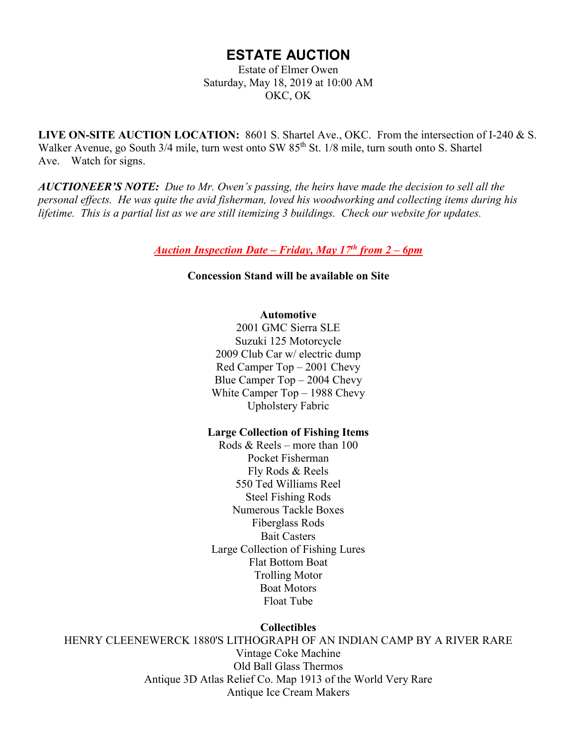# **ESTATE AUCTION**

Estate of Elmer Owen Saturday, May 18, 2019 at 10:00 AM OKC, OK

**LIVE ON-SITE AUCTION LOCATION:** 8601 S. Shartel Ave., OKC. From the intersection of I-240 & S. Walker Avenue, go South 3/4 mile, turn west onto SW 85<sup>th</sup> St. 1/8 mile, turn south onto S. Shartel Ave. Watch for signs.

*AUCTIONEER'S NOTE: Due to Mr. Owen's passing, the heirs have made the decision to sell all the personal effects. He was quite the avid fisherman, loved his woodworking and collecting items during his lifetime. This is a partial list as we are still itemizing 3 buildings. Check our website for updates.*

*Auction Inspection Date – Friday, May 17th from 2 – 6pm*

**Concession Stand will be available on Site**

## **Automotive**

2001 GMC Sierra SLE Suzuki 125 Motorcycle 2009 Club Car w/ electric dump Red Camper Top – 2001 Chevy Blue Camper Top – 2004 Chevy White Camper Top – 1988 Chevy Upholstery Fabric

# **Large Collection of Fishing Items**

Rods & Reels – more than 100 Pocket Fisherman Fly Rods & Reels 550 Ted Williams Reel Steel Fishing Rods Numerous Tackle Boxes Fiberglass Rods Bait Casters Large Collection of Fishing Lures Flat Bottom Boat Trolling Motor Boat Motors Float Tube

**Collectibles**

HENRY CLEENEWERCK 1880'S LITHOGRAPH OF AN INDIAN CAMP BY A RIVER RARE Vintage Coke Machine Old Ball Glass Thermos Antique 3D Atlas Relief Co. Map 1913 of the World Very Rare Antique Ice Cream Makers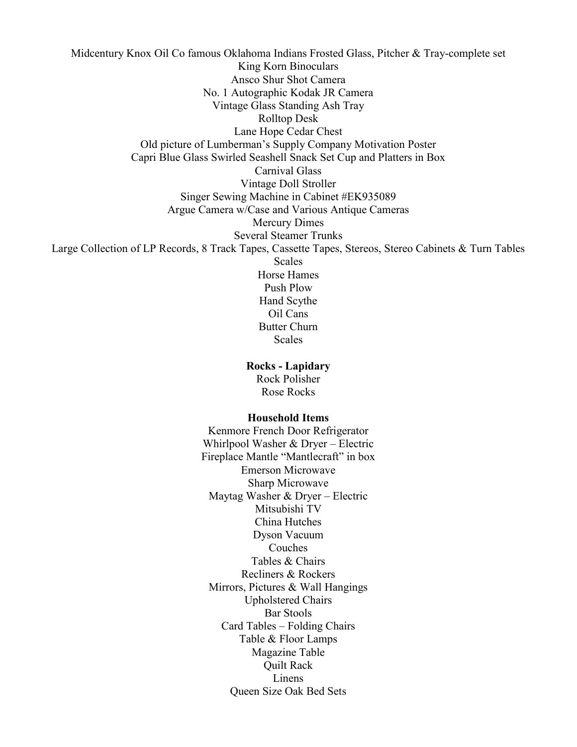Midcentury Knox Oil Co famous Oklahoma Indians Frosted Glass, Pitcher & Tray-complete set King Korn Binoculars Ansco Shur Shot Camera No. 1 Autographic Kodak JR Camera Vintage Glass Standing Ash Tray Rolltop Desk Lane Hope Cedar Chest Old picture of Lumberman's Supply Company Motivation Poster Capri Blue Glass Swirled Seashell Snack Set Cup and Platters in Box Carnival Glass Vintage Doll Stroller Singer Sewing Machine in Cabinet #EK935089 Argue Camera w/Case and Various Antique Cameras Mercury Dimes Several Steamer Trunks Large Collection of LP Records, 8 Track Tapes, Cassette Tapes, Stereos, Stereo Cabinets & Turn Tables **Scales** Horse Hames Push Plow Hand Scythe Oil Cans Butter Churn Scales

#### **Rocks - Lapidary**

Rock Polisher Rose Rocks

## **Household Items**

Kenmore French Door Refrigerator Whirlpool Washer & Dryer – Electric Fireplace Mantle "Mantlecraft" in box Emerson Microwave Sharp Microwave Maytag Washer & Dryer – Electric Mitsubishi TV China Hutches Dyson Vacuum Couches Tables & Chairs Recliners & Rockers Mirrors, Pictures & Wall Hangings Upholstered Chairs Bar Stools Card Tables – Folding Chairs Table & Floor Lamps Magazine Table Quilt Rack Linens Queen Size Oak Bed Sets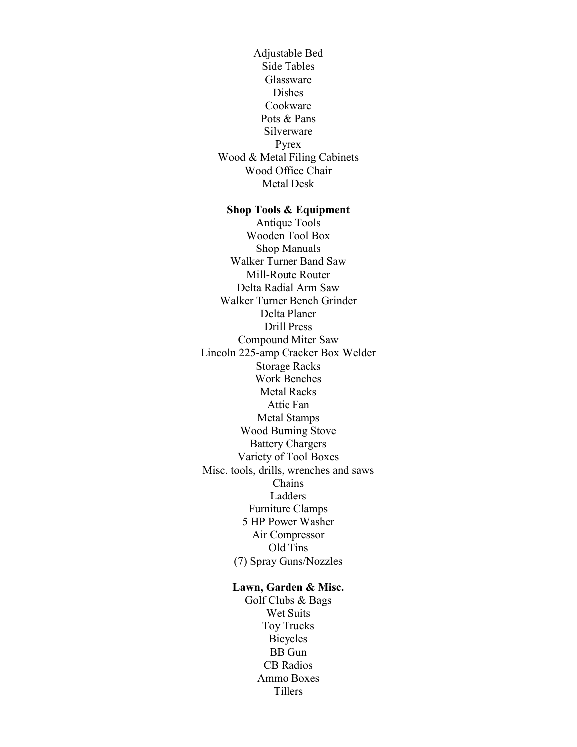Adjustable Bed Side Tables Glassware Dishes Cookware Pots & Pans Silverware Pyrex Wood & Metal Filing Cabinets Wood Office Chair Metal Desk

## **Shop Tools & Equipment**

Antique Tools Wooden Tool Box Shop Manuals Walker Turner Band Saw Mill-Route Router Delta Radial Arm Saw Walker Turner Bench Grinder Delta Planer Drill Press Compound Miter Saw Lincoln 225-amp Cracker Box Welder Storage Racks Work Benches Metal Racks Attic Fan Metal Stamps Wood Burning Stove Battery Chargers Variety of Tool Boxes Misc. tools, drills, wrenches and saws Chains Ladders Furniture Clamps 5 HP Power Washer Air Compressor Old Tins (7) Spray Guns/Nozzles

# **Lawn, Garden & Misc.**

Golf Clubs & Bags Wet Suits Toy Trucks Bicycles BB Gun CB Radios Ammo Boxes **Tillers**